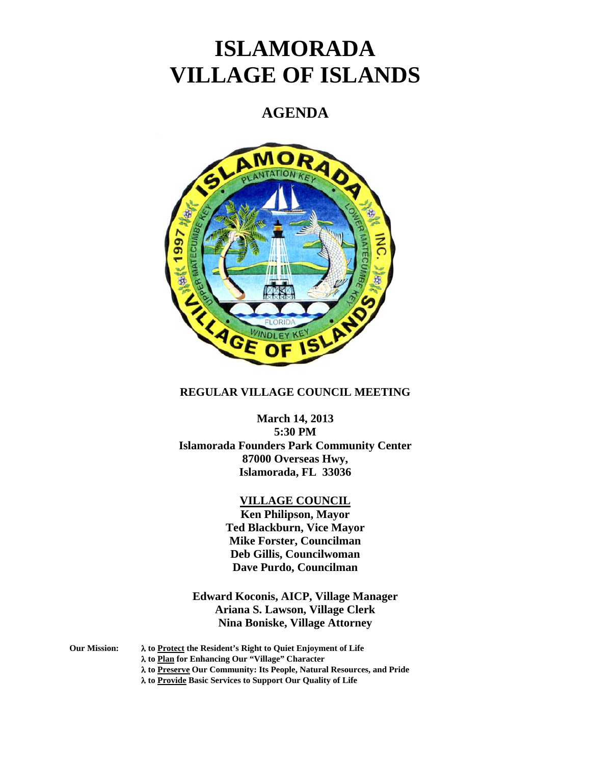# **ISLAMORADA VILLAGE OF ISLANDS**

## **AGENDA**



#### **REGULAR VILLAGE COUNCIL MEETING**

**March 14, 2013 5:30 PM Islamorada Founders Park Community Center 87000 Overseas Hwy, Islamorada, FL 33036** 

#### **VILLAGE COUNCIL**

**Ken Philipson, Mayor Ted Blackburn, Vice Mayor Mike Forster, Councilman Deb Gillis, Councilwoman Dave Purdo, Councilman** 

**Edward Koconis, AICP, Village Manager Ariana S. Lawson, Village Clerk Nina Boniske, Village Attorney** 

**Our Mission:** λ **to Protect the Resident's Right to Quiet Enjoyment of Life** 

λ **to Plan for Enhancing Our "Village" Character** 

λ **to Preserve Our Community: Its People, Natural Resources, and Pride** 

λ **to Provide Basic Services to Support Our Quality of Life**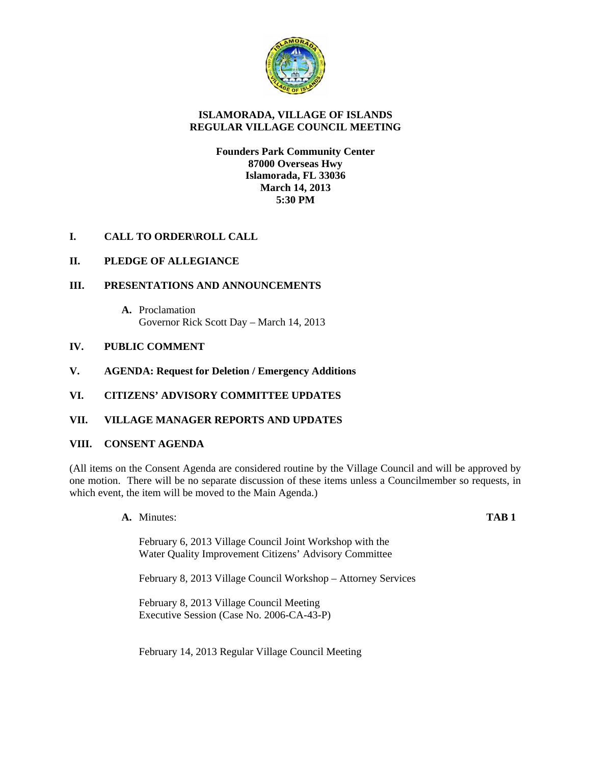

#### **ISLAMORADA, VILLAGE OF ISLANDS REGULAR VILLAGE COUNCIL MEETING**

**Founders Park Community Center 87000 Overseas Hwy Islamorada, FL 33036 March 14, 2013 5:30 PM** 

### **I. CALL TO ORDER\ROLL CALL**

#### **II. PLEDGE OF ALLEGIANCE**

#### **III. PRESENTATIONS AND ANNOUNCEMENTS**

**A.** Proclamation Governor Rick Scott Day – March 14, 2013

#### **IV. PUBLIC COMMENT**

- **V. AGENDA: Request for Deletion / Emergency Additions**
- **VI. CITIZENS' ADVISORY COMMITTEE UPDATES**

#### **VII. VILLAGE MANAGER REPORTS AND UPDATES**

#### **VIII. CONSENT AGENDA**

(All items on the Consent Agenda are considered routine by the Village Council and will be approved by one motion. There will be no separate discussion of these items unless a Councilmember so requests, in which event, the item will be moved to the Main Agenda.)

**A.** Minutes: **TAB 1**

February 6, 2013 Village Council Joint Workshop with the Water Quality Improvement Citizens' Advisory Committee

February 8, 2013 Village Council Workshop – Attorney Services

February 8, 2013 Village Council Meeting Executive Session (Case No. 2006-CA-43-P)

February 14, 2013 Regular Village Council Meeting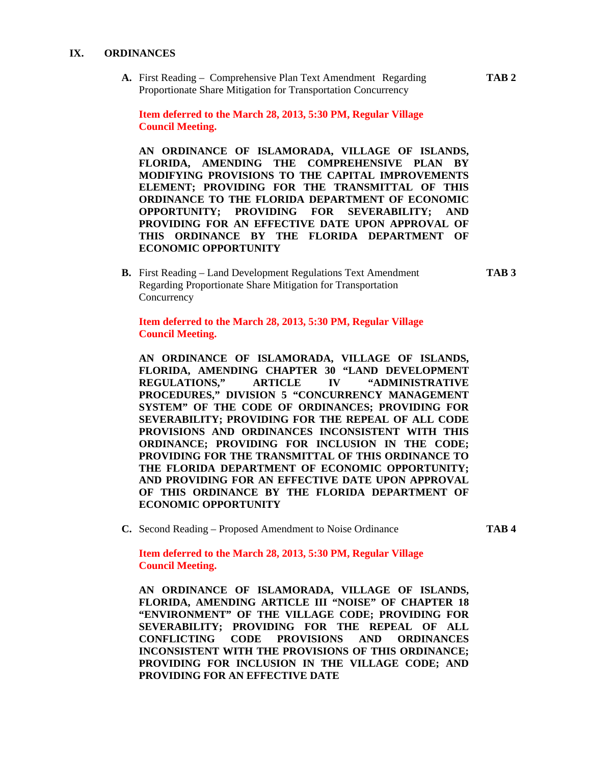#### **IX. ORDINANCES**

**A.** First Reading – Comprehensive Plan Text Amendment Regarding **TAB 2** Proportionate Share Mitigation for Transportation Concurrency

**Item deferred to the March 28, 2013, 5:30 PM, Regular Village Council Meeting.** 

**AN ORDINANCE OF ISLAMORADA, VILLAGE OF ISLANDS, FLORIDA, AMENDING THE COMPREHENSIVE PLAN BY MODIFYING PROVISIONS TO THE CAPITAL IMPROVEMENTS ELEMENT; PROVIDING FOR THE TRANSMITTAL OF THIS ORDINANCE TO THE FLORIDA DEPARTMENT OF ECONOMIC OPPORTUNITY; PROVIDING FOR SEVERABILITY; AND PROVIDING FOR AN EFFECTIVE DATE UPON APPROVAL OF THIS ORDINANCE BY THE FLORIDA DEPARTMENT OF ECONOMIC OPPORTUNITY** 

**B.** First Reading – Land Development Regulations Text Amendment **TAB 3** Regarding Proportionate Share Mitigation for Transportation **Concurrency** 

**Item deferred to the March 28, 2013, 5:30 PM, Regular Village Council Meeting.** 

**AN ORDINANCE OF ISLAMORADA, VILLAGE OF ISLANDS, FLORIDA, AMENDING CHAPTER 30 "LAND DEVELOPMENT REGULATIONS," ARTICLE IV "ADMINISTRATIVE PROCEDURES," DIVISION 5 "CONCURRENCY MANAGEMENT SYSTEM" OF THE CODE OF ORDINANCES; PROVIDING FOR SEVERABILITY; PROVIDING FOR THE REPEAL OF ALL CODE PROVISIONS AND ORDINANCES INCONSISTENT WITH THIS ORDINANCE; PROVIDING FOR INCLUSION IN THE CODE; PROVIDING FOR THE TRANSMITTAL OF THIS ORDINANCE TO THE FLORIDA DEPARTMENT OF ECONOMIC OPPORTUNITY; AND PROVIDING FOR AN EFFECTIVE DATE UPON APPROVAL OF THIS ORDINANCE BY THE FLORIDA DEPARTMENT OF ECONOMIC OPPORTUNITY** 

**C.** Second Reading – Proposed Amendment to Noise Ordinance **TAB 4**

**Item deferred to the March 28, 2013, 5:30 PM, Regular Village Council Meeting.** 

**AN ORDINANCE OF ISLAMORADA, VILLAGE OF ISLANDS, FLORIDA, AMENDING ARTICLE III "NOISE" OF CHAPTER 18 "ENVIRONMENT" OF THE VILLAGE CODE; PROVIDING FOR SEVERABILITY; PROVIDING FOR THE REPEAL OF ALL CONFLICTING CODE PROVISIONS AND ORDINANCES INCONSISTENT WITH THE PROVISIONS OF THIS ORDINANCE; PROVIDING FOR INCLUSION IN THE VILLAGE CODE; AND PROVIDING FOR AN EFFECTIVE DATE**